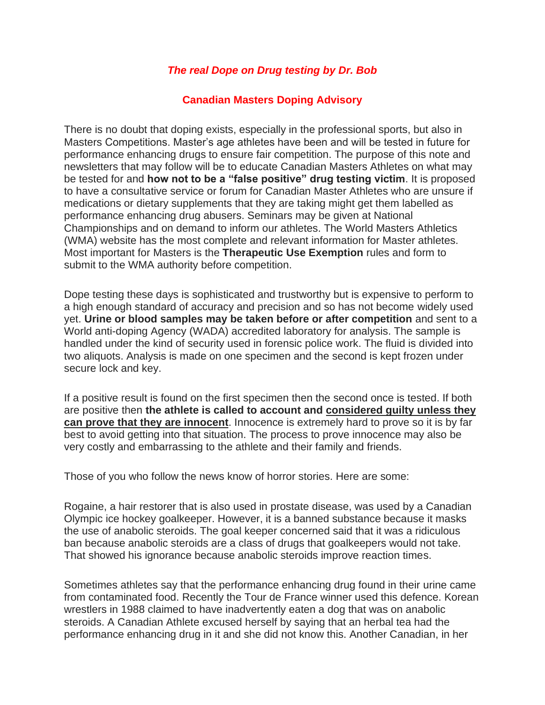## *The real Dope on Drug testing by Dr. Bob*

## **Canadian Masters Doping Advisory**

There is no doubt that doping exists, especially in the professional sports, but also in Masters Competitions. Master's age athletes have been and will be tested in future for performance enhancing drugs to ensure fair competition. The purpose of this note and newsletters that may follow will be to educate Canadian Masters Athletes on what may be tested for and **how not to be a "false positive" drug testing victim**. It is proposed to have a consultative service or forum for Canadian Master Athletes who are unsure if medications or dietary supplements that they are taking might get them labelled as performance enhancing drug abusers. Seminars may be given at National Championships and on demand to inform our athletes. The World Masters Athletics (WMA) website has the most complete and relevant information for Master athletes. Most important for Masters is the **Therapeutic Use Exemption** rules and form to submit to the WMA authority before competition.

Dope testing these days is sophisticated and trustworthy but is expensive to perform to a high enough standard of accuracy and precision and so has not become widely used yet. **Urine or blood samples may be taken before or after competition** and sent to a World anti-doping Agency (WADA) accredited laboratory for analysis. The sample is handled under the kind of security used in forensic police work. The fluid is divided into two aliquots. Analysis is made on one specimen and the second is kept frozen under secure lock and key.

If a positive result is found on the first specimen then the second once is tested. If both are positive then **the athlete is called to account and considered guilty unless they can prove that they are innocent**. Innocence is extremely hard to prove so it is by far best to avoid getting into that situation. The process to prove innocence may also be very costly and embarrassing to the athlete and their family and friends.

Those of you who follow the news know of horror stories. Here are some:

Rogaine, a hair restorer that is also used in prostate disease, was used by a Canadian Olympic ice hockey goalkeeper. However, it is a banned substance because it masks the use of anabolic steroids. The goal keeper concerned said that it was a ridiculous ban because anabolic steroids are a class of drugs that goalkeepers would not take. That showed his ignorance because anabolic steroids improve reaction times.

Sometimes athletes say that the performance enhancing drug found in their urine came from contaminated food. Recently the Tour de France winner used this defence. Korean wrestlers in 1988 claimed to have inadvertently eaten a dog that was on anabolic steroids. A Canadian Athlete excused herself by saying that an herbal tea had the performance enhancing drug in it and she did not know this. Another Canadian, in her